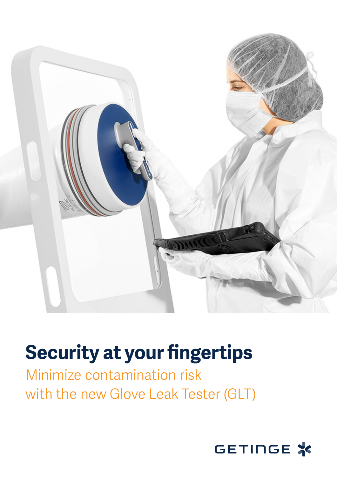

## **Security at your fingertips**

## Minimize contamination risk with the new Glove Leak Tester (GLT)